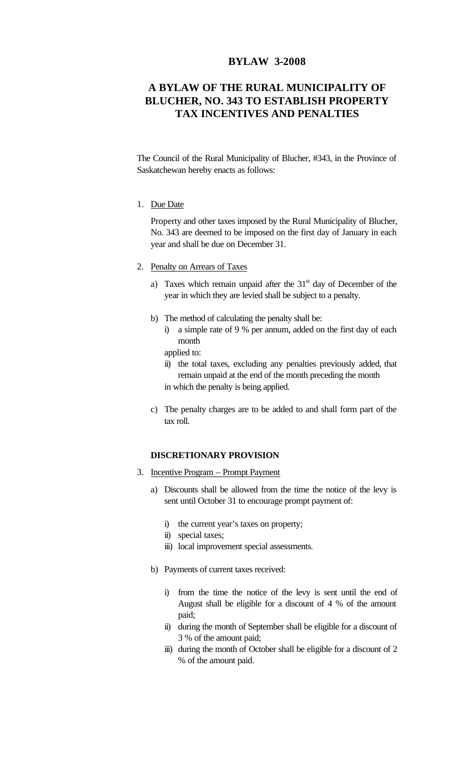## **BYLAW 3-2008**

## **A BYLAW OF THE RURAL MUNICIPALITY OF BLUCHER, NO. 343 TO ESTABLISH PROPERTY TAX INCENTIVES AND PENALTIES**

The Council of the Rural Municipality of Blucher, #343, in the Province of Saskatchewan hereby enacts as follows:

1. Due Date

Property and other taxes imposed by the Rural Municipality of Blucher, No. 343 are deemed to be imposed on the first day of January in each year and shall be due on December 31.

- 2. Penalty on Arrears of Taxes
	- a) Taxes which remain unpaid after the  $31<sup>st</sup>$  day of December of the year in which they are levied shall be subject to a penalty.
	- b) The method of calculating the penalty shall be:
		- i) a simple rate of 9 % per annum, added on the first day of each month
		- applied to:
		- ii) the total taxes, excluding any penalties previously added, that remain unpaid at the end of the month preceding the month in which the penalty is being applied.
	- c) The penalty charges are to be added to and shall form part of the tax roll.

## **DISCRETIONARY PROVISION**

- 3. Incentive Program Prompt Payment
	- a) Discounts shall be allowed from the time the notice of the levy is sent until October 31 to encourage prompt payment of:
		- i) the current year's taxes on property;
		- ii) special taxes;
		- iii) local improvement special assessments.
	- b) Payments of current taxes received:
		- i) from the time the notice of the levy is sent until the end of August shall be eligible for a discount of 4 % of the amount paid;
		- ii) during the month of September shall be eligible for a discount of 3 % of the amount paid;
		- iii) during the month of October shall be eligible for a discount of 2 % of the amount paid.